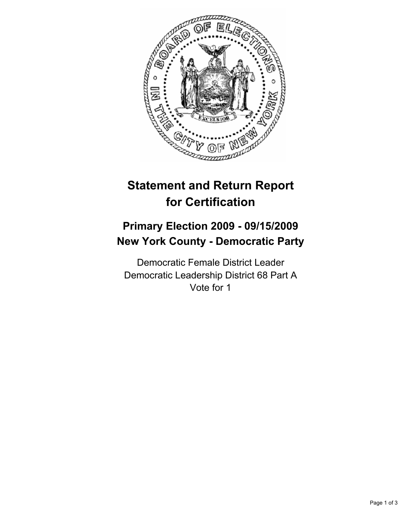

# **Statement and Return Report for Certification**

## **Primary Election 2009 - 09/15/2009 New York County - Democratic Party**

Democratic Female District Leader Democratic Leadership District 68 Part A Vote for 1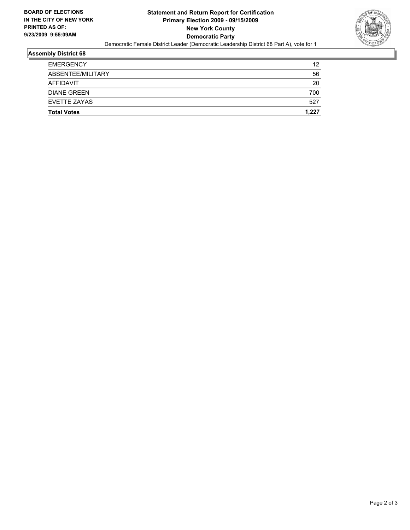

#### **Assembly District 68**

| <b>Total Votes</b> | 1.227 |
|--------------------|-------|
| EVETTE ZAYAS       | 527   |
| <b>DIANE GREEN</b> | 700   |
| AFFIDAVIT          | 20    |
| ABSENTEE/MILITARY  | 56    |
| <b>EMERGENCY</b>   | 12    |